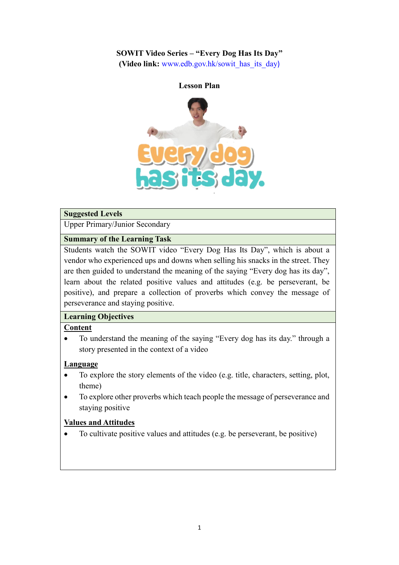### **SOWIT Video Series – "Every Dog Has Its Day"**

**(Video link:** [www.edb.gov.hk/sowit\\_has\\_its\\_day](http://www.edb.gov.hk/sowit_has_its_day))



#### **Suggested Levels**

Upper Primary/Junior Secondary

### **Summary of the Learning Task**

Students watch the SOWIT video "Every Dog Has Its Day", which is about a vendor who experienced ups and downs when selling his snacks in the street. They are then guided to understand the meaning of the saying "Every dog has its day", learn about the related positive values and attitudes (e.g. be perseverant, be positive), and prepare a collection of proverbs which convey the message of perseverance and staying positive.

### **Learning Objectives**

## **Content**

 To understand the meaning of the saying "Every dog has its day." through a story presented in the context of a video

#### **Language**

- To explore the story elements of the video (e.g. title, characters, setting, plot, theme)
- To explore other proverbs which teach people the message of perseverance and staying positive

#### **Values and Attitudes**

To cultivate positive values and attitudes (e.g. be perseverant, be positive)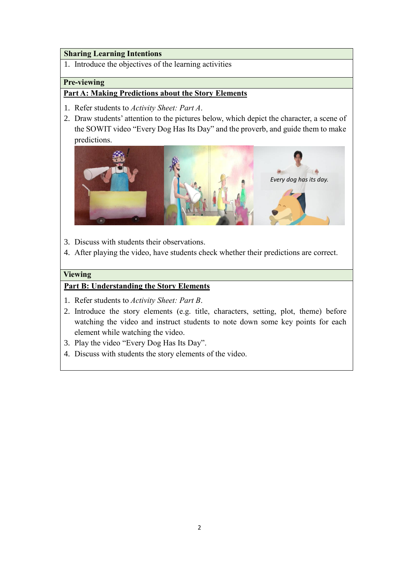#### **Sharing Learning Intentions**

1. Introduce the objectives of the learning activities

#### **Pre-viewing**

### **Part A: Making Predictions about the Story Elements**

- 1. Refer students to *Activity Sheet: Part A*.
- 2. Draw students' attention to the pictures below, which depict the character, a scene of the SOWIT video "Every Dog Has Its Day" and the proverb, and guide them to make predictions.



- 3. Discuss with students their observations.
- 4. After playing the video, have students check whether their predictions are correct.

#### **Viewing**

### **Part B: Understanding the Story Elements**

- 1. Refer students to *Activity Sheet: Part B*.
- 2. Introduce the story elements (e.g. title, characters, setting, plot, theme) before watching the video and instruct students to note down some key points for each element while watching the video.
- 3. Play the video "Every Dog Has Its Day".
- 4. Discuss with students the story elements of the video.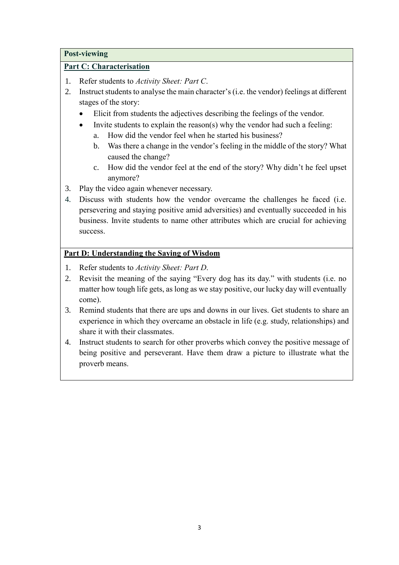#### **Post-viewing**

### **Part C: Characterisation**

- 1. Refer students to *Activity Sheet: Part C*.
- 2. Instruct students to analyse the main character's (i.e. the vendor) feelings at different stages of the story:
	- Elicit from students the adjectives describing the feelings of the vendor.
	- Invite students to explain the reason(s) why the vendor had such a feeling:
		- a. How did the vendor feel when he started his business?
		- b. Was there a change in the vendor's feeling in the middle of the story? What caused the change?
		- c. How did the vendor feel at the end of the story? Why didn't he feel upset anymore?
- 3. Play the video again whenever necessary.
- 4. Discuss with students how the vendor overcame the challenges he faced (i.e. persevering and staying positive amid adversities) and eventually succeeded in his business. Invite students to name other attributes which are crucial for achieving success.

## **Part D: Understanding the Saying of Wisdom**

- 1. Refer students to *Activity Sheet: Part D*.
- 2. Revisit the meaning of the saying "Every dog has its day." with students (i.e. no matter how tough life gets, as long as we stay positive, our lucky day will eventually come).
- 3. Remind students that there are ups and downs in our lives. Get students to share an experience in which they overcame an obstacle in life (e.g. study, relationships) and share it with their classmates.
- 4. Instruct students to search for other proverbs which convey the positive message of being positive and perseverant. Have them draw a picture to illustrate what the proverb means.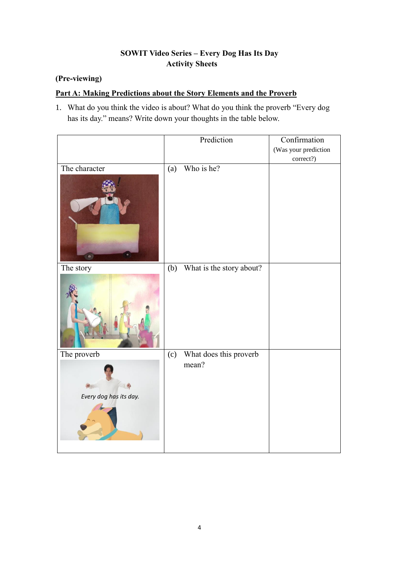## **SOWIT Video Series – Every Dog Has Its Day Activity Sheets**

## **(Pre-viewing)**

## **Part A: Making Predictions about the Story Elements and the Proverb**

1. What do you think the video is about? What do you think the proverb "Every dog has its day." means? Write down your thoughts in the table below.

|                        |     | Prediction               | Confirmation         |
|------------------------|-----|--------------------------|----------------------|
|                        |     |                          | (Was your prediction |
|                        |     |                          | correct?)            |
| The character          | (a) | Who is he?               |                      |
| ٠<br>$\bullet$         |     |                          |                      |
| The story              | (b) | What is the story about? |                      |
|                        |     |                          |                      |
| The proverb            | (c) | What does this proverb   |                      |
| Every dog has its day. |     | mean?                    |                      |
|                        |     |                          |                      |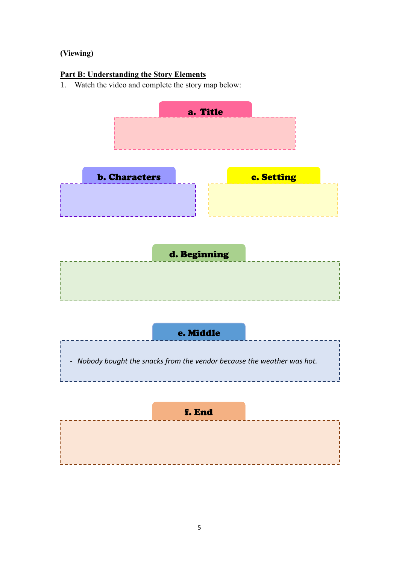# **(Viewing)**

## **Part B: Understanding the Story Elements**

1. Watch the video and complete the story map below:

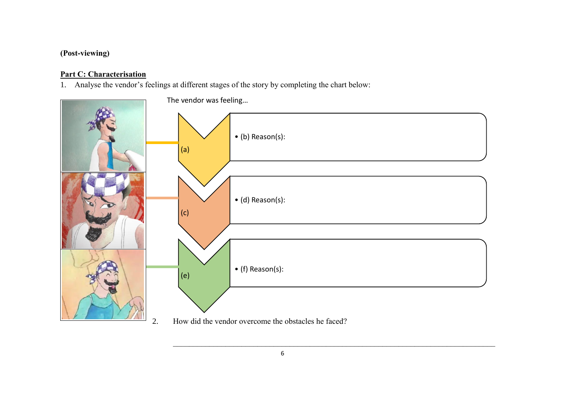# **(Post-viewing)**

# **Part C: Characterisation**

1. Analyse the vendor's feelings at different stages of the story by completing the chart below:

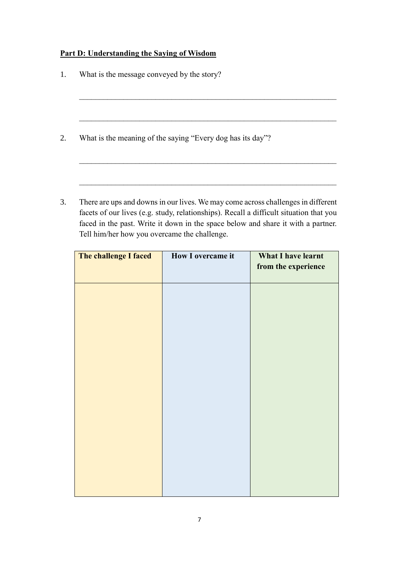## **Part D: Understanding the Saying of Wisdom**

| What is the message conveyed by the story?                 |
|------------------------------------------------------------|
|                                                            |
|                                                            |
| What is the meaning of the saying "Every dog has its day"? |
|                                                            |
|                                                            |

3. There are ups and downs in our lives. We may come across challenges in different facets of our lives (e.g. study, relationships). Recall a difficult situation that you faced in the past. Write it down in the space below and share it with a partner. Tell him/her how you overcame the challenge.

| The challenge I faced | How I overcame it | <b>What I have learnt</b><br>from the experience |
|-----------------------|-------------------|--------------------------------------------------|
|                       |                   |                                                  |
|                       |                   |                                                  |
|                       |                   |                                                  |
|                       |                   |                                                  |
|                       |                   |                                                  |
|                       |                   |                                                  |
|                       |                   |                                                  |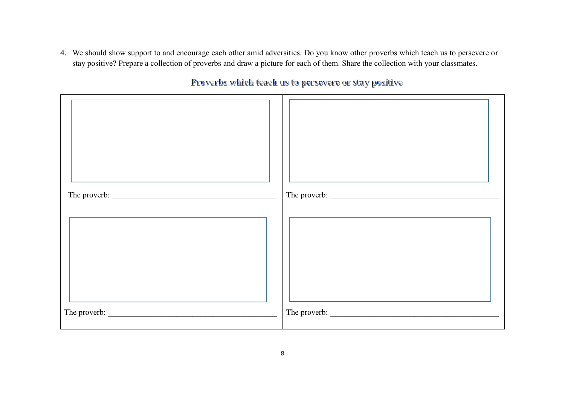4. We should show support to and encourage each other amid adversities. Do you know other proverbs which teach us to persevere or stay positive? Prepare a collection of proverbs and draw a picture for each of them. Share the collection with your classmates.

The proverb:  $\Box$ The proverb: \_\_\_\_\_\_\_\_\_\_\_\_\_\_\_\_\_\_\_\_\_\_\_\_\_\_\_\_\_\_\_\_\_\_\_\_\_\_\_\_\_\_ The proverb: \_\_\_\_\_\_\_\_\_\_\_\_\_\_\_\_\_\_\_\_\_\_\_\_\_\_\_\_\_\_\_\_\_\_\_\_\_\_\_\_\_\_

Proverbs which teach us to persevere or stay positive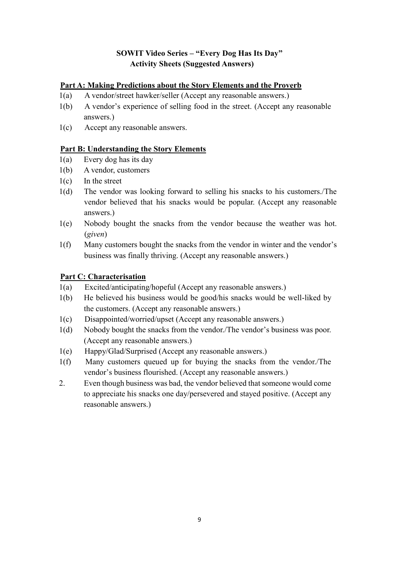## **SOWIT Video Series – "Every Dog Has Its Day" Activity Sheets (Suggested Answers)**

#### **Part A: Making Predictions about the Story Elements and the Proverb**

- 1(a) A vendor/street hawker/seller (Accept any reasonable answers.)
- 1(b) A vendor's experience of selling food in the street. (Accept any reasonable answers.)
- 1(c) Accept any reasonable answers.

#### **Part B: Understanding the Story Elements**

- 1(a) Every dog has its day
- 1(b) A vendor, customers
- 1(c) In the street
- $1(d)$ The vendor was looking forward to selling his snacks to his customers./The vendor believed that his snacks would be popular. (Accept any reasonable answers.)
- $1(e)$ Nobody bought the snacks from the vendor because the weather was hot. (*given*)
- $1(f)$ Many customers bought the snacks from the vendor in winter and the vendor's business was finally thriving. (Accept any reasonable answers.)

#### **Part C: Characterisation**

- 1(a) Excited/anticipating/hopeful (Accept any reasonable answers.)
- 1(b) He believed his business would be good/his snacks would be well-liked by the customers. (Accept any reasonable answers.)
- 1(c) Disappointed/worried/upset (Accept any reasonable answers.)
- 1(d) Nobody bought the snacks from the vendor./The vendor's business was poor. (Accept any reasonable answers.)
- $1(e)$ Happy/Glad/Surprised (Accept any reasonable answers.)
- $1(f)$ Many customers queued up for buying the snacks from the vendor./The vendor's business flourished. (Accept any reasonable answers.)
- 2. Even though business was bad, the vendor believed that someone would come to appreciate his snacks one day/persevered and stayed positive. (Accept any reasonable answers.)